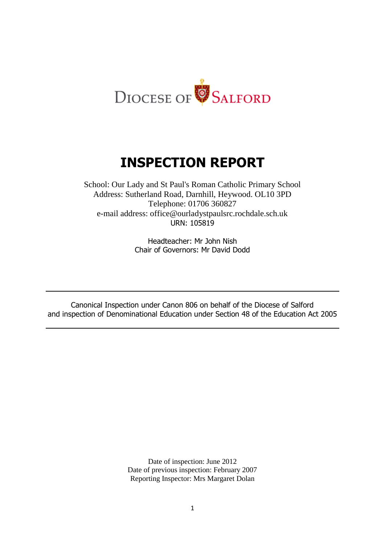

# **INSPECTION REPORT**

School: Our Lady and St Paul's Roman Catholic Primary School Address: Sutherland Road, Darnhill, Heywood. OL10 3PD Telephone: 01706 360827 e-mail address: office@ourladystpaulsrc.rochdale.sch.uk URN: 105819

> Headteacher: Mr John Nish Chair of Governors: Mr David Dodd

Canonical Inspection under Canon 806 on behalf of the Diocese of Salford and inspection of Denominational Education under Section 48 of the Education Act 2005

> Date of inspection: June 2012 Date of previous inspection: February 2007 Reporting Inspector: Mrs Margaret Dolan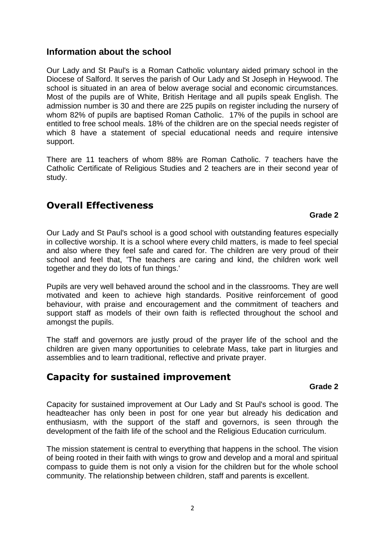## **Information about the school**

Our Lady and St Paul's is a Roman Catholic voluntary aided primary school in the Diocese of Salford. It serves the parish of Our Lady and St Joseph in Heywood. The school is situated in an area of below average social and economic circumstances. Most of the pupils are of White, British Heritage and all pupils speak English. The admission number is 30 and there are 225 pupils on register including the nursery of whom 82% of pupils are baptised Roman Catholic. 17% of the pupils in school are entitled to free school meals. 18% of the children are on the special needs register of which 8 have a statement of special educational needs and require intensive support.

There are 11 teachers of whom 88% are Roman Catholic. 7 teachers have the Catholic Certificate of Religious Studies and 2 teachers are in their second year of study.

## **Overall Effectiveness**

#### **Grade 2**

Our Lady and St Paul's school is a good school with outstanding features especially in collective worship. It is a school where every child matters, is made to feel special and also where they feel safe and cared for. The children are very proud of their school and feel that, 'The teachers are caring and kind, the children work well together and they do lots of fun things.'

Pupils are very well behaved around the school and in the classrooms. They are well motivated and keen to achieve high standards. Positive reinforcement of good behaviour, with praise and encouragement and the commitment of teachers and support staff as models of their own faith is reflected throughout the school and amongst the pupils.

The staff and governors are justly proud of the prayer life of the school and the children are given many opportunities to celebrate Mass, take part in liturgies and assemblies and to learn traditional, reflective and private prayer.

## **Capacity for sustained improvement**

#### **Grade 2**

Capacity for sustained improvement at Our Lady and St Paul's school is good. The headteacher has only been in post for one year but already his dedication and enthusiasm, with the support of the staff and governors, is seen through the development of the faith life of the school and the Religious Education curriculum.

The mission statement is central to everything that happens in the school. The vision of being rooted in their faith with wings to grow and develop and a moral and spiritual compass to guide them is not only a vision for the children but for the whole school community. The relationship between children, staff and parents is excellent.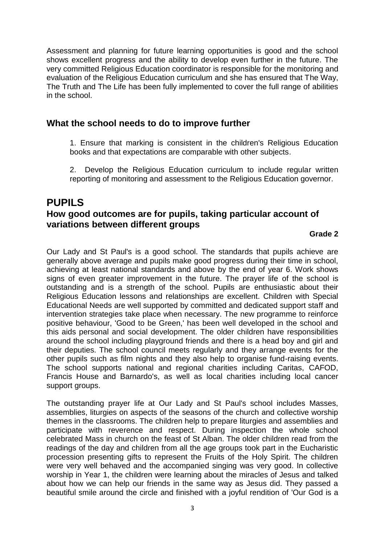Assessment and planning for future learning opportunities is good and the school shows excellent progress and the ability to develop even further in the future. The very committed Religious Education coordinator is responsible for the monitoring and evaluation of the Religious Education curriculum and she has ensured that The Way, The Truth and The Life has been fully implemented to cover the full range of abilities in the school.

## **What the school needs to do to improve further**

1. Ensure that marking is consistent in the children's Religious Education books and that expectations are comparable with other subjects.

2. Develop the Religious Education curriculum to include regular written reporting of monitoring and assessment to the Religious Education governor.

## **PUPILS How good outcomes are for pupils, taking particular account of variations between different groups**

#### **Grade 2**

Our Lady and St Paul's is a good school. The standards that pupils achieve are generally above average and pupils make good progress during their time in school, achieving at least national standards and above by the end of year 6. Work shows signs of even greater improvement in the future. The prayer life of the school is outstanding and is a strength of the school. Pupils are enthusiastic about their Religious Education lessons and relationships are excellent. Children with Special Educational Needs are well supported by committed and dedicated support staff and intervention strategies take place when necessary. The new programme to reinforce positive behaviour, 'Good to be Green,' has been well developed in the school and this aids personal and social development. The older children have responsibilities around the school including playground friends and there is a head boy and girl and their deputies. The school council meets regularly and they arrange events for the other pupils such as film nights and they also help to organise fund-raising events. The school supports national and regional charities including Caritas, CAFOD, Francis House and Barnardo's, as well as local charities including local cancer support groups.

The outstanding prayer life at Our Lady and St Paul's school includes Masses, assemblies, liturgies on aspects of the seasons of the church and collective worship themes in the classrooms. The children help to prepare liturgies and assemblies and participate with reverence and respect. During inspection the whole school celebrated Mass in church on the feast of St Alban. The older children read from the readings of the day and children from all the age groups took part in the Eucharistic procession presenting gifts to represent the Fruits of the Holy Spirit. The children were very well behaved and the accompanied singing was very good. In collective worship in Year 1, the children were learning about the miracles of Jesus and talked about how we can help our friends in the same way as Jesus did. They passed a beautiful smile around the circle and finished with a joyful rendition of 'Our God is a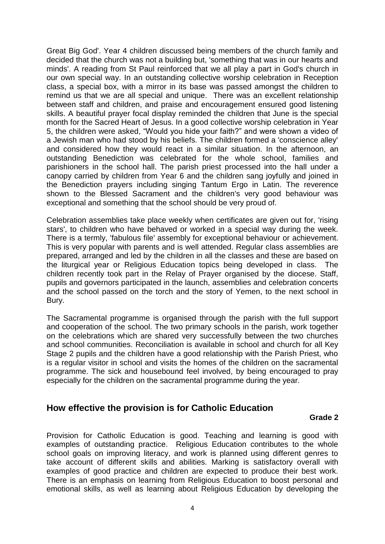Great Big God'. Year 4 children discussed being members of the church family and decided that the church was not a building but, 'something that was in our hearts and minds'. A reading from St Paul reinforced that we all play a part in God's church in our own special way. In an outstanding collective worship celebration in Reception class, a special box, with a mirror in its base was passed amongst the children to remind us that we are all special and unique. There was an excellent relationship between staff and children, and praise and encouragement ensured good listening skills. A beautiful prayer focal display reminded the children that June is the special month for the Sacred Heart of Jesus. In a good collective worship celebration in Year 5, the children were asked, "Would you hide your faith?" and were shown a video of a Jewish man who had stood by his beliefs. The children formed a 'conscience alley' and considered how they would react in a similar situation. In the afternoon, an outstanding Benediction was celebrated for the whole school, families and parishioners in the school hall. The parish priest processed into the hall under a canopy carried by children from Year 6 and the children sang joyfully and joined in the Benediction prayers including singing Tantum Ergo in Latin. The reverence shown to the Blessed Sacrament and the children's very good behaviour was exceptional and something that the school should be very proud of.

Celebration assemblies take place weekly when certificates are given out for, 'rising stars', to children who have behaved or worked in a special way during the week. There is a termly, 'fabulous file' assembly for exceptional behaviour or achievement. This is very popular with parents and is well attended. Regular class assemblies are prepared, arranged and led by the children in all the classes and these are based on the liturgical year or Religious Education topics being developed in class. The children recently took part in the Relay of Prayer organised by the diocese. Staff, pupils and governors participated in the launch, assemblies and celebration concerts and the school passed on the torch and the story of Yemen, to the next school in Bury.

The Sacramental programme is organised through the parish with the full support and cooperation of the school. The two primary schools in the parish, work together on the celebrations which are shared very successfully between the two churches and school communities. Reconciliation is available in school and church for all Key Stage 2 pupils and the children have a good relationship with the Parish Priest, who is a regular visitor in school and visits the homes of the children on the sacramental programme. The sick and housebound feel involved, by being encouraged to pray especially for the children on the sacramental programme during the year.

### **How effective the provision is for Catholic Education**

#### **Grade 2**

Provision for Catholic Education is good. Teaching and learning is good with examples of outstanding practice. Religious Education contributes to the whole school goals on improving literacy, and work is planned using different genres to take account of different skills and abilities. Marking is satisfactory overall with examples of good practice and children are expected to produce their best work. There is an emphasis on learning from Religious Education to boost personal and emotional skills, as well as learning about Religious Education by developing the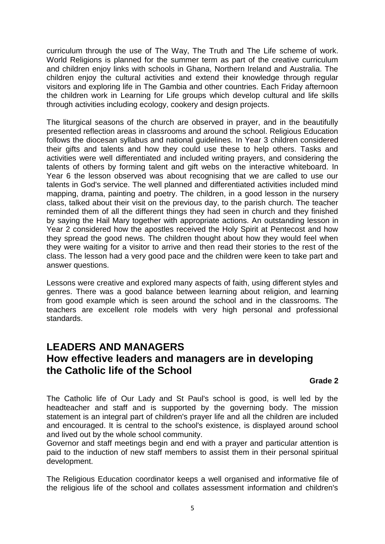curriculum through the use of The Way, The Truth and The Life scheme of work. World Religions is planned for the summer term as part of the creative curriculum and children enjoy links with schools in Ghana, Northern Ireland and Australia. The children enjoy the cultural activities and extend their knowledge through regular visitors and exploring life in The Gambia and other countries. Each Friday afternoon the children work in Learning for Life groups which develop cultural and life skills through activities including ecology, cookery and design projects.

The liturgical seasons of the church are observed in prayer, and in the beautifully presented reflection areas in classrooms and around the school. Religious Education follows the diocesan syllabus and national guidelines. In Year 3 children considered their gifts and talents and how they could use these to help others. Tasks and activities were well differentiated and included writing prayers, and considering the talents of others by forming talent and gift webs on the interactive whiteboard. In Year 6 the lesson observed was about recognising that we are called to use our talents in God's service. The well planned and differentiated activities included mind mapping, drama, painting and poetry. The children, in a good lesson in the nursery class, talked about their visit on the previous day, to the parish church. The teacher reminded them of all the different things they had seen in church and they finished by saying the Hail Mary together with appropriate actions. An outstanding lesson in Year 2 considered how the apostles received the Holy Spirit at Pentecost and how they spread the good news. The children thought about how they would feel when they were waiting for a visitor to arrive and then read their stories to the rest of the class. The lesson had a very good pace and the children were keen to take part and answer questions.

Lessons were creative and explored many aspects of faith, using different styles and genres. There was a good balance between learning about religion, and learning from good example which is seen around the school and in the classrooms. The teachers are excellent role models with very high personal and professional standards.

## **LEADERS AND MANAGERS How effective leaders and managers are in developing the Catholic life of the School**

#### **Grade 2**

The Catholic life of Our Lady and St Paul's school is good, is well led by the headteacher and staff and is supported by the governing body. The mission statement is an integral part of children's prayer life and all the children are included and encouraged. It is central to the school's existence, is displayed around school and lived out by the whole school community.

Governor and staff meetings begin and end with a prayer and particular attention is paid to the induction of new staff members to assist them in their personal spiritual development.

The Religious Education coordinator keeps a well organised and informative file of the religious life of the school and collates assessment information and children's